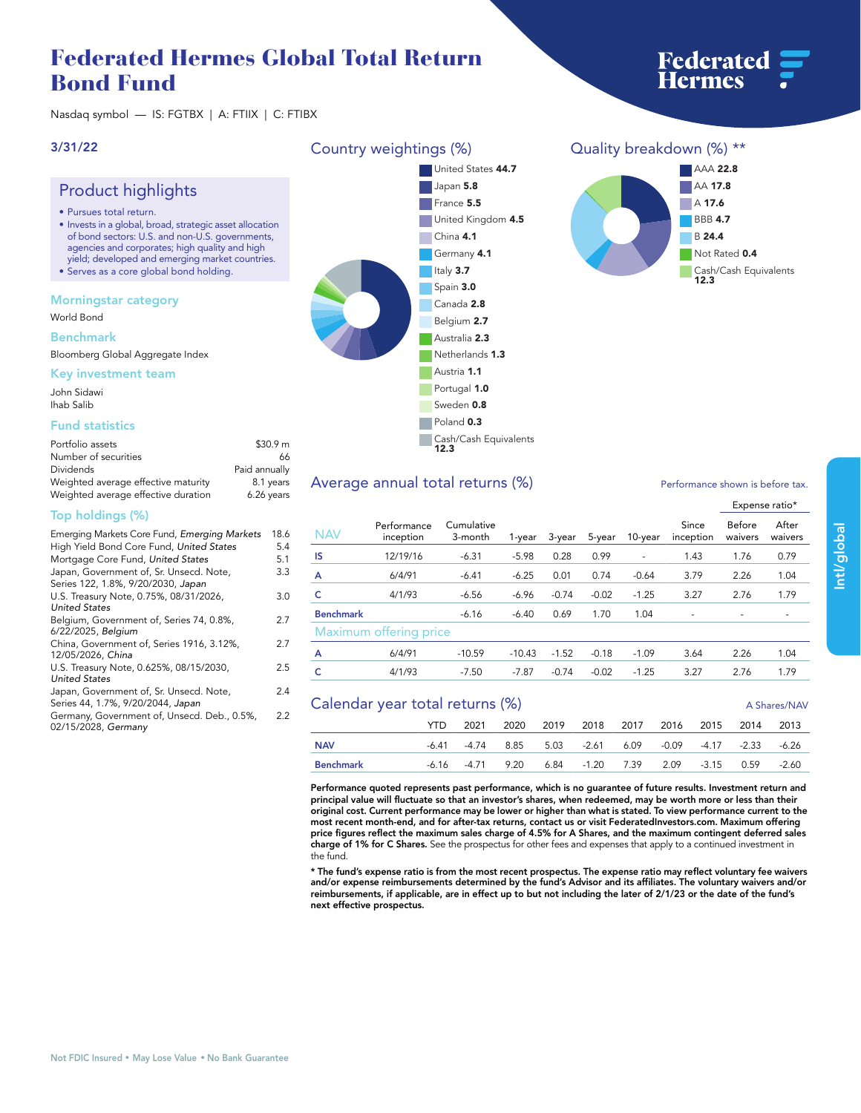# **Federated Hermes Global Total Return Bond Fund**

**Nasdaq symbol — IS: FGTBX | A: FTIIX | C: FTIBX**

### **3/31/22**

## **Product highlights**

- **• Pursues total return.**
- **• Invests in a global, broad, strategic asset allocation of bond sectors: U.S. and non-U.S. governments, agencies and corporates; high quality and high yield; developed and emerging market countries.**
- **• Serves as a core global bond holding.**

### **Morningstar category**

**World Bond**

#### **Benchmark**

**Bloomberg Global Aggregate Index**

#### **Key investment team**

**John Sidawi Ihab Salib**

### **Fund statistics**

| Portfolio assets                    | \$30.9 m      |
|-------------------------------------|---------------|
| Number of securities                | 66            |
| Dividends                           | Paid annually |
| Weighted average effective maturity | 8.1 years     |
| Weighted average effective duration | 6.26 years    |

### **Top holdings (%)**

| Emerging Markets Core Fund, Emerging Markets                                  | 18.6 |
|-------------------------------------------------------------------------------|------|
| High Yield Bond Core Fund, United States                                      | 5.4  |
| Mortgage Core Fund, United States                                             | 5.1  |
| Japan, Government of, Sr. Unsecd. Note,<br>Series 122, 1.8%, 9/20/2030, Japan | 3.3  |
| U.S. Treasury Note, 0.75%, 08/31/2026,<br><b>United States</b>                | 3.0  |
| Belgium, Government of, Series 74, 0.8%,<br>6/22/2025, Belgium                | 2.7  |
| China, Government of, Series 1916, 3.12%,<br>12/05/2026, China                | 2.7  |
| U.S. Treasury Note, 0.625%, 08/15/2030,<br><b>United States</b>               | 2.5  |
| Japan, Government of, Sr. Unsecd. Note,<br>Series 44, 1.7%, 9/20/2044, Japan  | 2.4  |
| Germany, Government of, Unsecd. Deb., 0.5%,<br>02/15/2028, Germany            | 2.2  |

## **Country weightings (%) United States 44.7 Japan 5.8**





**Federated**<br>Hermes



## Average annual total returns  $\left(\% \right)$  **Performance shown is before tax.**

|                        |                          |                       |          |         |         |                          |                    | Expense ratio*    |                  |  |
|------------------------|--------------------------|-----------------------|----------|---------|---------|--------------------------|--------------------|-------------------|------------------|--|
| <b>NAV</b>             | Performance<br>inception | Cumulative<br>3-month | 1-year   | 3-year  | 5-year  | 10-year                  | Since<br>inception | Before<br>waivers | After<br>waivers |  |
| IS                     | 12/19/16                 | $-6.31$               | $-5.98$  | 0.28    | 0.99    | $\overline{\phantom{m}}$ | 1.43               | 1.76              | 0.79             |  |
| A                      | 6/4/91                   | $-6.41$               | $-6.25$  | 0.01    | 0.74    | $-0.64$                  | 3.79               | 2.26              | 1.04             |  |
| c                      | 4/1/93                   | $-6.56$               | $-6.96$  | $-0.74$ | $-0.02$ | $-1.25$                  | 3.27               | 2.76              | 1.79             |  |
| <b>Benchmark</b>       |                          | $-6.16$               | $-6.40$  | 0.69    | 1.70    | 1.04                     |                    |                   |                  |  |
| Maximum offering price |                          |                       |          |         |         |                          |                    |                   |                  |  |
| A                      | 6/4/91                   | $-10.59$              | $-10.43$ | $-1.52$ | $-0.18$ | $-1.09$                  | 3.64               | 2.26              | 1.04             |  |
| c                      | 4/1/93                   | $-7.50$               | $-7.87$  | $-0.74$ | $-0.02$ | $-1.25$                  | 3.27               | 2.76              | 1.79             |  |
|                        |                          |                       |          |         |         |                          |                    |                   |                  |  |

## **Calendar year total returns (%) 
<b>A** Shares/NAV

|            |  |  |  |  | YTD 2021 2020 2019 2018 2017 2016 2015 2014 2013         |  |  |  |       |
|------------|--|--|--|--|----------------------------------------------------------|--|--|--|-------|
| <b>NAV</b> |  |  |  |  | -6.41 -4.74 8.85 5.03 -2.61 6.09 -0.09 -4.17 -2.33 -6.26 |  |  |  |       |
| Benchmark  |  |  |  |  | -6.16 -4.71 9.20 6.84 -1.20 7.39 2.09 -3.15 0.59         |  |  |  | -2.60 |

**Performance quoted represents past performance, which is no guarantee of future results. Investment return and principal value will fluctuate so that an investor's shares, when redeemed, may be worth more or less than their original cost. Current performance may be lower or higher than what is stated. To view performance current to the most recent month-end, and for after-tax returns, contact us or visit [FederatedInvestors.com.](www.federatedinvestors.com) Maximum offering price figures reflect the maximum sales charge of 4.5% for A Shares, and the maximum contingent deferred sales charge of 1% for C Shares. See the prospectus for other fees and expenses that apply to a continued investment in the fund.**

**\* The fund's expense ratio is from the most recent prospectus. The expense ratio may reflect voluntary fee waivers and/or expense reimbursements determined by the fund's Advisor and its affiliates. The voluntary waivers and/or reimbursements, if applicable, are in effect up to but not including the later of 2/1/23 or the date of the fund's next effective prospectus.**